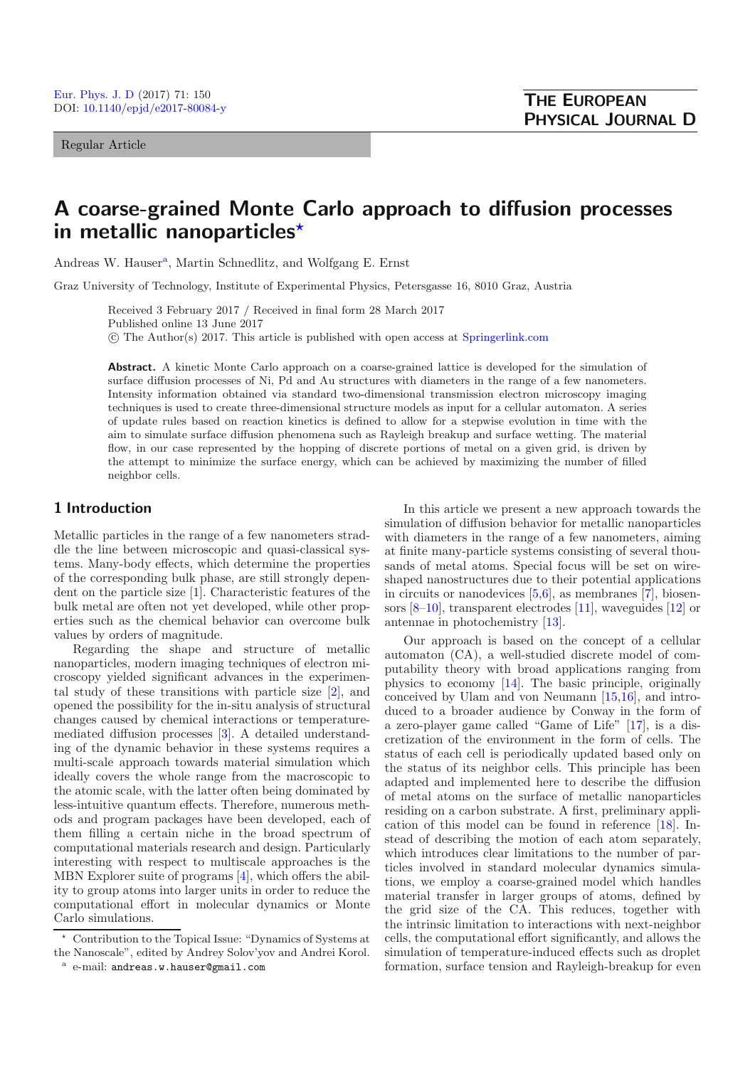Regular Article

# **A coarse-grained Monte Carlo approach to diffusion processes in metallic nanoparticles***-*

Andreas W. Hauser<sup>a</sup>, Martin Schnedlitz, and Wolfgang E. Ernst

Graz University of Technology, Institute of Experimental Physics, Petersgasse 16, 8010 Graz, Austria

Received 3 February 2017 / Received in final form 28 March 2017 Published online 13 June 2017 -c The Author(s) 2017. This article is published with open access at [Springerlink.com](http://www.springerlink.com)

**Abstract.** A kinetic Monte Carlo approach on a coarse-grained lattice is developed for the simulation of surface diffusion processes of Ni, Pd and Au structures with diameters in the range of a few nanometers. Intensity information obtained via standard two-dimensional transmission electron microscopy imaging techniques is used to create three-dimensional structure models as input for a cellular automaton. A series of update rules based on reaction kinetics is defined to allow for a stepwise evolution in time with the aim to simulate surface diffusion phenomena such as Rayleigh breakup and surface wetting. The material flow, in our case represented by the hopping of discrete portions of metal on a given grid, is driven by the attempt to minimize the surface energy, which can be achieved by maximizing the number of filled neighbor cells.

## **1 Introduction**

Metallic particles in the range of a few nanometers straddle the line between microscopic and quasi-classical systems. Many-body effects, which determine the properties of the corresponding bulk phase, are still strongly dependent on the particle size [\[1](#page-6-0)]. Characteristic features of the bulk metal are often not yet developed, while other properties such as the chemical behavior can overcome bulk values by orders of magnitude.

Regarding the shape and structure of metallic nanoparticles, modern imaging techniques of electron microscopy yielded significant advances in the experimental study of these transitions with particle size [\[2\]](#page-6-1), and opened the possibility for the in-situ analysis of structural changes caused by chemical interactions or temperaturemediated diffusion processes [\[3\]](#page-6-2). A detailed understanding of the dynamic behavior in these systems requires a multi-scale approach towards material simulation which ideally covers the whole range from the macroscopic to the atomic scale, with the latter often being dominated by less-intuitive quantum effects. Therefore, numerous methods and program packages have been developed, each of them filling a certain niche in the broad spectrum of computational materials research and design. Particularly interesting with respect to multiscale approaches is the MBN Explorer suite of programs [\[4](#page-6-3)], which offers the ability to group atoms into larger units in order to reduce the computational effort in molecular dynamics or Monte Carlo simulations.

In this article we present a new approach towards the simulation of diffusion behavior for metallic nanoparticles with diameters in the range of a few nanometers, aiming at finite many-particle systems consisting of several thousands of metal atoms. Special focus will be set on wireshaped nanostructures due to their potential applications in circuits or nanodevices  $[5,6]$  $[5,6]$ , as membranes  $[7]$ , biosensors [\[8](#page-6-7)[–10\]](#page-6-8), transparent electrodes [\[11\]](#page-6-9), waveguides [\[12](#page-6-10)] or antennae in photochemistry [\[13\]](#page-6-11).

Our approach is based on the concept of a cellular automaton (CA), a well-studied discrete model of computability theory with broad applications ranging from physics to economy [\[14](#page-6-12)]. The basic principle, originally conceived by Ulam and von Neumann [\[15](#page-6-13)[,16\]](#page-6-14), and introduced to a broader audience by Conway in the form of a zero-player game called "Game of Life" [\[17\]](#page-6-15), is a discretization of the environment in the form of cells. The status of each cell is periodically updated based only on the status of its neighbor cells. This principle has been adapted and implemented here to describe the diffusion of metal atoms on the surface of metallic nanoparticles residing on a carbon substrate. A first, preliminary application of this model can be found in reference [\[18](#page-6-16)]. Instead of describing the motion of each atom separately, which introduces clear limitations to the number of particles involved in standard molecular dynamics simulations, we employ a coarse-grained model which handles material transfer in larger groups of atoms, defined by the grid size of the CA. This reduces, together with the intrinsic limitation to interactions with next-neighbor cells, the computational effort significantly, and allows the simulation of temperature-induced effects such as droplet formation, surface tension and Rayleigh-breakup for even

 $\star$  Contribution to the Topical Issue: "Dynamics of Systems at the Nanoscale", edited by Andrey Solov'yov and Andrei Korol.

<sup>a</sup> e-mail: andreas.w.hauser@gmail.com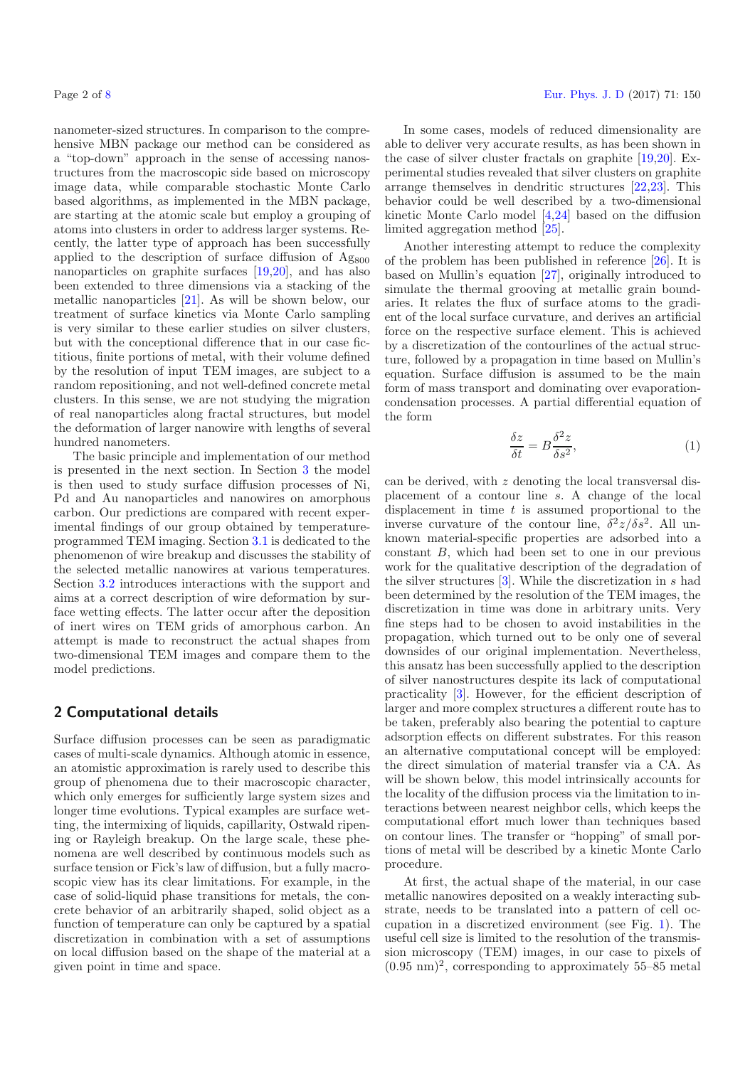nanometer-sized structures. In comparison to the comprehensive MBN package our method can be considered as a "top-down" approach in the sense of accessing nanostructures from the macroscopic side based on microscopy image data, while comparable stochastic Monte Carlo based algorithms, as implemented in the MBN package, are starting at the atomic scale but employ a grouping of atoms into clusters in order to address larger systems. Recently, the latter type of approach has been successfully applied to the description of surface diffusion of  $Ag800$ nanoparticles on graphite surfaces [\[19](#page-7-1)[,20](#page-7-2)], and has also been extended to three dimensions via a stacking of the metallic nanoparticles [\[21\]](#page-7-3). As will be shown below, our treatment of surface kinetics via Monte Carlo sampling is very similar to these earlier studies on silver clusters, but with the conceptional difference that in our case fictitious, finite portions of metal, with their volume defined by the resolution of input TEM images, are subject to a random repositioning, and not well-defined concrete metal clusters. In this sense, we are not studying the migration of real nanoparticles along fractal structures, but model the deformation of larger nanowire with lengths of several hundred nanometers.

The basic principle and implementation of our method is presented in the next section. In Section [3](#page-3-0) the model is then used to study surface diffusion processes of Ni, Pd and Au nanoparticles and nanowires on amorphous carbon. Our predictions are compared with recent experimental findings of our group obtained by temperatureprogrammed TEM imaging. Section [3.1](#page-3-1) is dedicated to the phenomenon of wire breakup and discusses the stability of the selected metallic nanowires at various temperatures. Section [3.2](#page-3-2) introduces interactions with the support and aims at a correct description of wire deformation by surface wetting effects. The latter occur after the deposition of inert wires on TEM grids of amorphous carbon. An attempt is made to reconstruct the actual shapes from two-dimensional TEM images and compare them to the model predictions.

# <span id="page-1-0"></span>**2 Computational details**

Surface diffusion processes can be seen as paradigmatic cases of multi-scale dynamics. Although atomic in essence, an atomistic approximation is rarely used to describe this group of phenomena due to their macroscopic character, which only emerges for sufficiently large system sizes and longer time evolutions. Typical examples are surface wetting, the intermixing of liquids, capillarity, Ostwald ripening or Rayleigh breakup. On the large scale, these phenomena are well described by continuous models such as surface tension or Fick's law of diffusion, but a fully macroscopic view has its clear limitations. For example, in the case of solid-liquid phase transitions for metals, the concrete behavior of an arbitrarily shaped, solid object as a function of temperature can only be captured by a spatial discretization in combination with a set of assumptions on local diffusion based on the shape of the material at a given point in time and space.

In some cases, models of reduced dimensionality are able to deliver very accurate results, as has been shown in the case of silver cluster fractals on graphite [\[19](#page-7-1)[,20](#page-7-2)]. Experimental studies revealed that silver clusters on graphite arrange themselves in dendritic structures [\[22](#page-7-4)[,23\]](#page-7-5). This behavior could be well described by a two-dimensional kinetic Monte Carlo model [\[4](#page-6-3)[,24\]](#page-7-6) based on the diffusion limited aggregation method [\[25\]](#page-7-7).

Another interesting attempt to reduce the complexity of the problem has been published in reference [\[26\]](#page-7-8). It is based on Mullin's equation [\[27](#page-7-9)], originally introduced to simulate the thermal grooving at metallic grain boundaries. It relates the flux of surface atoms to the gradient of the local surface curvature, and derives an artificial force on the respective surface element. This is achieved by a discretization of the contourlines of the actual structure, followed by a propagation in time based on Mullin's equation. Surface diffusion is assumed to be the main form of mass transport and dominating over evaporationcondensation processes. A partial differential equation of the form

$$
\frac{\delta z}{\delta t} = B \frac{\delta^2 z}{\delta s^2},\tag{1}
$$

can be derived, with  $z$  denoting the local transversal displacement of a contour line s. A change of the local displacement in time  $t$  is assumed proportional to the inverse curvature of the contour line,  $\delta^2 z/\delta s^2$ . All unknown material-specific properties are adsorbed into a constant B, which had been set to one in our previous work for the qualitative description of the degradation of the silver structures [\[3\]](#page-6-2). While the discretization in s had been determined by the resolution of the TEM images, the discretization in time was done in arbitrary units. Very fine steps had to be chosen to avoid instabilities in the propagation, which turned out to be only one of several downsides of our original implementation. Nevertheless, this ansatz has been successfully applied to the description of silver nanostructures despite its lack of computational practicality [\[3\]](#page-6-2). However, for the efficient description of larger and more complex structures a different route has to be taken, preferably also bearing the potential to capture adsorption effects on different substrates. For this reason an alternative computational concept will be employed: the direct simulation of material transfer via a CA. As will be shown below, this model intrinsically accounts for the locality of the diffusion process via the limitation to interactions between nearest neighbor cells, which keeps the computational effort much lower than techniques based on contour lines. The transfer or "hopping" of small portions of metal will be described by a kinetic Monte Carlo procedure.

At first, the actual shape of the material, in our case metallic nanowires deposited on a weakly interacting substrate, needs to be translated into a pattern of cell occupation in a discretized environment (see Fig. [1\)](#page-2-0). The useful cell size is limited to the resolution of the transmission microscopy (TEM) images, in our case to pixels of  $(0.95 \text{ nm})^2$ , corresponding to approximately 55–85 metal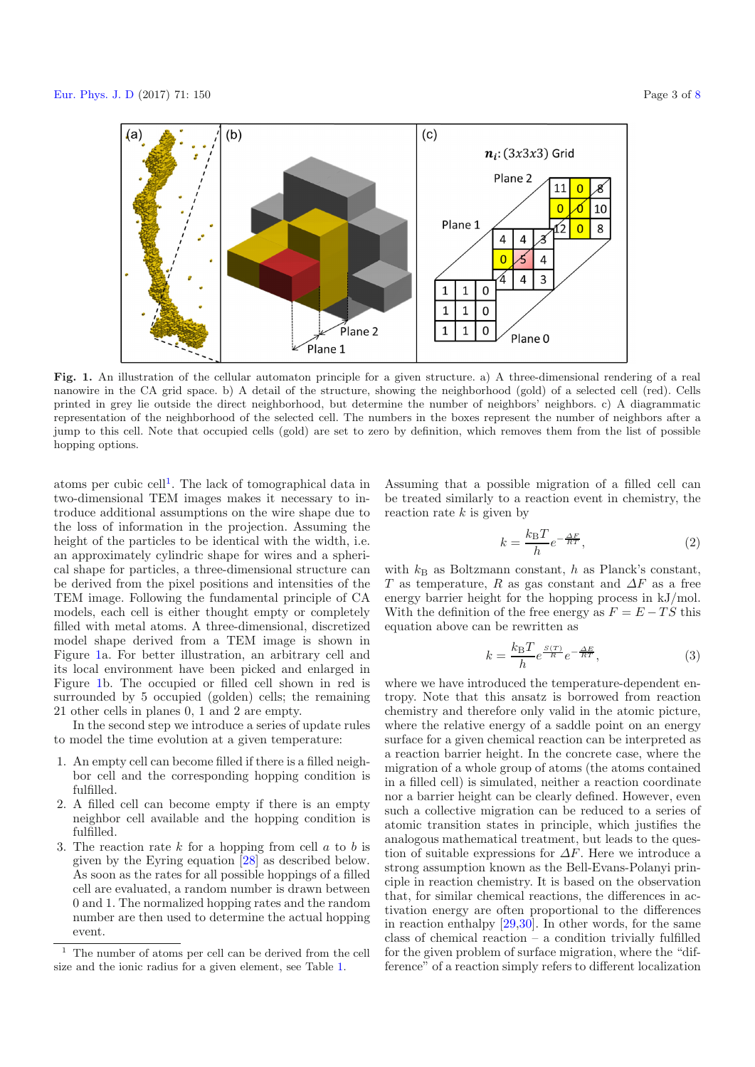<span id="page-2-0"></span>

**Fig. 1.** An illustration of the cellular automaton principle for a given structure. a) A three-dimensional rendering of a real nanowire in the CA grid space. b) A detail of the structure, showing the neighborhood (gold) of a selected cell (red). Cells printed in grey lie outside the direct neighborhood, but determine the number of neighbors' neighbors. c) A diagrammatic representation of the neighborhood of the selected cell. The numbers in the boxes represent the number of neighbors after a jump to this cell. Note that occupied cells (gold) are set to zero by definition, which removes them from the list of possible hopping options.

atoms per cubic cell<sup>[1](#page-2-1)</sup>. The lack of tomographical data in two-dimensional TEM images makes it necessary to introduce additional assumptions on the wire shape due to the loss of information in the projection. Assuming the height of the particles to be identical with the width, i.e. an approximately cylindric shape for wires and a spherical shape for particles, a three-dimensional structure can be derived from the pixel positions and intensities of the TEM image. Following the fundamental principle of CA models, each cell is either thought empty or completely filled with metal atoms. A three-dimensional, discretized model shape derived from a TEM image is shown in Figure [1a](#page-2-0). For better illustration, an arbitrary cell and its local environment have been picked and enlarged in Figure [1b](#page-2-0). The occupied or filled cell shown in red is surrounded by 5 occupied (golden) cells; the remaining 21 other cells in planes 0, 1 and 2 are empty.

In the second step we introduce a series of update rules to model the time evolution at a given temperature:

- <span id="page-2-1"></span>1. An empty cell can become filled if there is a filled neighbor cell and the corresponding hopping condition is fulfilled.
- 2. A filled cell can become empty if there is an empty neighbor cell available and the hopping condition is fulfilled.
- 3. The reaction rate  $k$  for a hopping from cell  $a$  to  $b$  is given by the Eyring equation [\[28](#page-7-10)] as described below. As soon as the rates for all possible hoppings of a filled cell are evaluated, a random number is drawn between 0 and 1. The normalized hopping rates and the random number are then used to determine the actual hopping event.

<span id="page-2-2"></span>Assuming that a possible migration of a filled cell can be treated similarly to a reaction event in chemistry, the reaction rate  $k$  is given by

$$
k = \frac{k_{\rm B}T}{h}e^{-\frac{\Delta F}{RT}},\tag{2}
$$

with  $k_B$  as Boltzmann constant, h as Planck's constant, T as temperature, R as gas constant and  $\Delta F$  as a free energy barrier height for the hopping process in kJ/mol. With the definition of the free energy as  $F = E - TS$  this equation above can be rewritten as

$$
k = \frac{k_{\rm B}T}{h}e^{\frac{S(T)}{R}}e^{-\frac{\Delta E}{RT}},\tag{3}
$$

where we have introduced the temperature-dependent entropy. Note that this ansatz is borrowed from reaction chemistry and therefore only valid in the atomic picture, where the relative energy of a saddle point on an energy surface for a given chemical reaction can be interpreted as a reaction barrier height. In the concrete case, where the migration of a whole group of atoms (the atoms contained in a filled cell) is simulated, neither a reaction coordinate nor a barrier height can be clearly defined. However, even such a collective migration can be reduced to a series of atomic transition states in principle, which justifies the analogous mathematical treatment, but leads to the question of suitable expressions for  $\Delta F$ . Here we introduce a strong assumption known as the Bell-Evans-Polanyi principle in reaction chemistry. It is based on the observation that, for similar chemical reactions, the differences in activation energy are often proportional to the differences in reaction enthalpy [\[29](#page-7-11)[,30\]](#page-7-12). In other words, for the same class of chemical reaction – a condition trivially fulfilled for the given problem of surface migration, where the "difference" of a reaction simply refers to different localization

<sup>1</sup> The number of atoms per cell can be derived from the cell size and the ionic radius for a given element, see Table [1.](#page-5-0)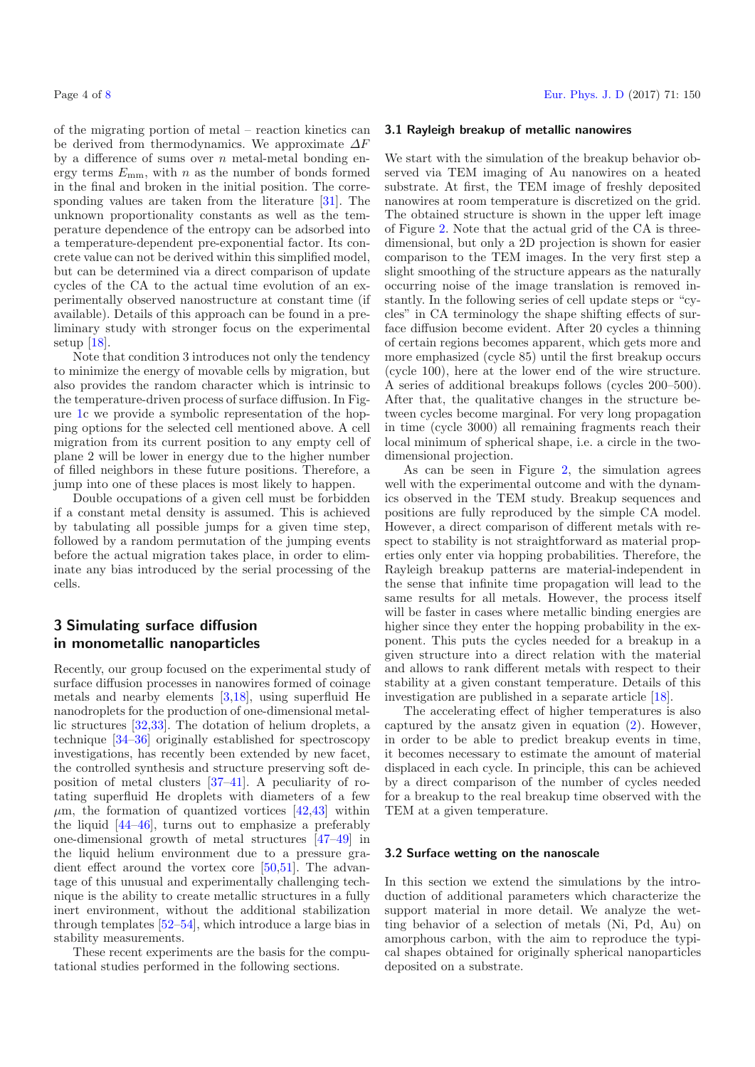of the migrating portion of metal – reaction kinetics can be derived from thermodynamics. We approximate  $\Delta F$ by a difference of sums over  $n$  metal-metal bonding energy terms  $E_{\text{mm}}$ , with n as the number of bonds formed in the final and broken in the initial position. The corresponding values are taken from the literature [\[31\]](#page-7-13). The unknown proportionality constants as well as the temperature dependence of the entropy can be adsorbed into a temperature-dependent pre-exponential factor. Its concrete value can not be derived within this simplified model, but can be determined via a direct comparison of update cycles of the CA to the actual time evolution of an experimentally observed nanostructure at constant time (if available). Details of this approach can be found in a preliminary study with stronger focus on the experimental setup [\[18\]](#page-6-16).

Note that condition 3 introduces not only the tendency to minimize the energy of movable cells by migration, but also provides the random character which is intrinsic to the temperature-driven process of surface diffusion. In Figure [1c](#page-2-0) we provide a symbolic representation of the hopping options for the selected cell mentioned above. A cell migration from its current position to any empty cell of plane 2 will be lower in energy due to the higher number of filled neighbors in these future positions. Therefore, a jump into one of these places is most likely to happen.

Double occupations of a given cell must be forbidden if a constant metal density is assumed. This is achieved by tabulating all possible jumps for a given time step, followed by a random permutation of the jumping events before the actual migration takes place, in order to eliminate any bias introduced by the serial processing of the cells.

## <span id="page-3-0"></span>**3 Simulating surface diffusion in monometallic nanoparticles**

Recently, our group focused on the experimental study of surface diffusion processes in nanowires formed of coinage metals and nearby elements [\[3](#page-6-2)[,18\]](#page-6-16), using superfluid He nanodroplets for the production of one-dimensional metallic structures [\[32](#page-7-14)[,33](#page-7-15)]. The dotation of helium droplets, a technique [\[34](#page-7-16)[–36](#page-7-17)] originally established for spectroscopy investigations, has recently been extended by new facet, the controlled synthesis and structure preserving soft deposition of metal clusters [\[37](#page-7-18)[–41](#page-7-19)]. A peculiarity of rotating superfluid He droplets with diameters of a few  $\mu$ m, the formation of quantized vortices [\[42](#page-7-20)[,43](#page-7-21)] within the liquid [\[44](#page-7-22)[–46\]](#page-7-23), turns out to emphasize a preferably one-dimensional growth of metal structures [\[47](#page-7-24)[–49](#page-7-25)] in the liquid helium environment due to a pressure gradient effect around the vortex core [\[50](#page-7-26)[,51\]](#page-7-27). The advantage of this unusual and experimentally challenging technique is the ability to create metallic structures in a fully inert environment, without the additional stabilization through templates [\[52](#page-7-28)[–54](#page-7-29)], which introduce a large bias in stability measurements.

These recent experiments are the basis for the computational studies performed in the following sections.

#### <span id="page-3-1"></span>**3.1 Rayleigh breakup of metallic nanowires**

We start with the simulation of the breakup behavior observed via TEM imaging of Au nanowires on a heated substrate. At first, the TEM image of freshly deposited nanowires at room temperature is discretized on the grid. The obtained structure is shown in the upper left image of Figure [2.](#page-4-0) Note that the actual grid of the CA is threedimensional, but only a 2D projection is shown for easier comparison to the TEM images. In the very first step a slight smoothing of the structure appears as the naturally occurring noise of the image translation is removed instantly. In the following series of cell update steps or "cycles" in CA terminology the shape shifting effects of surface diffusion become evident. After 20 cycles a thinning of certain regions becomes apparent, which gets more and more emphasized (cycle 85) until the first breakup occurs (cycle 100), here at the lower end of the wire structure. A series of additional breakups follows (cycles 200–500). After that, the qualitative changes in the structure between cycles become marginal. For very long propagation in time (cycle 3000) all remaining fragments reach their local minimum of spherical shape, i.e. a circle in the twodimensional projection.

As can be seen in Figure [2,](#page-4-0) the simulation agrees well with the experimental outcome and with the dynamics observed in the TEM study. Breakup sequences and positions are fully reproduced by the simple CA model. However, a direct comparison of different metals with respect to stability is not straightforward as material properties only enter via hopping probabilities. Therefore, the Rayleigh breakup patterns are material-independent in the sense that infinite time propagation will lead to the same results for all metals. However, the process itself will be faster in cases where metallic binding energies are higher since they enter the hopping probability in the exponent. This puts the cycles needed for a breakup in a given structure into a direct relation with the material and allows to rank different metals with respect to their stability at a given constant temperature. Details of this investigation are published in a separate article [\[18\]](#page-6-16).

The accelerating effect of higher temperatures is also captured by the ansatz given in equation [\(2\)](#page-2-2). However, in order to be able to predict breakup events in time, it becomes necessary to estimate the amount of material displaced in each cycle. In principle, this can be achieved by a direct comparison of the number of cycles needed for a breakup to the real breakup time observed with the TEM at a given temperature.

#### <span id="page-3-2"></span>**3.2 Surface wetting on the nanoscale**

In this section we extend the simulations by the introduction of additional parameters which characterize the support material in more detail. We analyze the wetting behavior of a selection of metals (Ni, Pd, Au) on amorphous carbon, with the aim to reproduce the typical shapes obtained for originally spherical nanoparticles deposited on a substrate.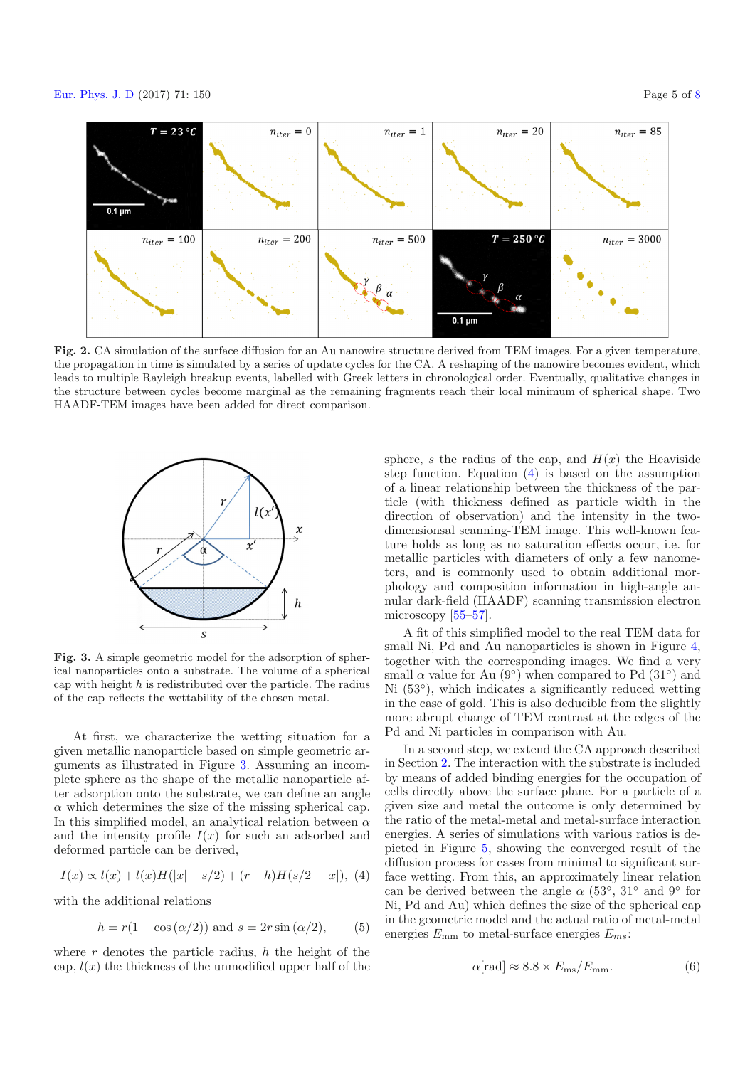<span id="page-4-0"></span>

**Fig. 2.** CA simulation of the surface diffusion for an Au nanowire structure derived from TEM images. For a given temperature, the propagation in time is simulated by a series of update cycles for the CA. A reshaping of the nanowire becomes evident, which leads to multiple Rayleigh breakup events, labelled with Greek letters in chronological order. Eventually, qualitative changes in the structure between cycles become marginal as the remaining fragments reach their local minimum of spherical shape. Two HAADF-TEM images have been added for direct comparison.

<span id="page-4-1"></span>

<span id="page-4-2"></span>**Fig. 3.** A simple geometric model for the adsorption of spherical nanoparticles onto a substrate. The volume of a spherical cap with height  $h$  is redistributed over the particle. The radius of the cap reflects the wettability of the chosen metal.

At first, we characterize the wetting situation for a given metallic nanoparticle based on simple geometric arguments as illustrated in Figure [3.](#page-4-1) Assuming an incomplete sphere as the shape of the metallic nanoparticle after adsorption onto the substrate, we can define an angle  $\alpha$  which determines the size of the missing spherical cap. In this simplified model, an analytical relation between  $\alpha$ and the intensity profile  $I(x)$  for such an adsorbed and deformed particle can be derived,

$$
I(x) \propto l(x) + l(x)H(|x| - s/2) + (r - h)H(s/2 - |x|), \tag{4}
$$

with the additional relations

$$
h = r(1 - \cos(\alpha/2)) \text{ and } s = 2r\sin(\alpha/2), \qquad (5)
$$

where  $r$  denotes the particle radius,  $h$  the height of the cap,  $l(x)$  the thickness of the unmodified upper half of the

sphere, s the radius of the cap, and  $H(x)$  the Heaviside step function. Equation [\(4\)](#page-4-2) is based on the assumption of a linear relationship between the thickness of the particle (with thickness defined as particle width in the direction of observation) and the intensity in the twodimensionsal scanning-TEM image. This well-known feature holds as long as no saturation effects occur, i.e. for metallic particles with diameters of only a few nanometers, and is commonly used to obtain additional morphology and composition information in high-angle annular dark-field (HAADF) scanning transmission electron microscopy [\[55–](#page-7-30)[57\]](#page-7-31).

A fit of this simplified model to the real TEM data for small Ni, Pd and Au nanoparticles is shown in Figure [4,](#page-5-1) together with the corresponding images. We find a very small  $\alpha$  value for Au (9<sup>°</sup>) when compared to Pd (31<sup>°</sup>) and Ni  $(53°)$ , which indicates a significantly reduced wetting in the case of gold. This is also deducible from the slightly more abrupt change of TEM contrast at the edges of the Pd and Ni particles in comparison with Au.

In a second step, we extend the CA approach described in Section [2.](#page-1-0) The interaction with the substrate is included by means of added binding energies for the occupation of cells directly above the surface plane. For a particle of a given size and metal the outcome is only determined by the ratio of the metal-metal and metal-surface interaction energies. A series of simulations with various ratios is depicted in Figure [5,](#page-5-2) showing the converged result of the diffusion process for cases from minimal to significant surface wetting. From this, an approximately linear relation can be derived between the angle  $\alpha$  (53°, 31° and 9° for Ni, Pd and Au) which defines the size of the spherical cap in the geometric model and the actual ratio of metal-metal energies Emm to metal-surface energies E*ms*:

$$
\alpha[\text{rad}] \approx 8.8 \times E_{\text{ms}}/E_{\text{mm}}.\tag{6}
$$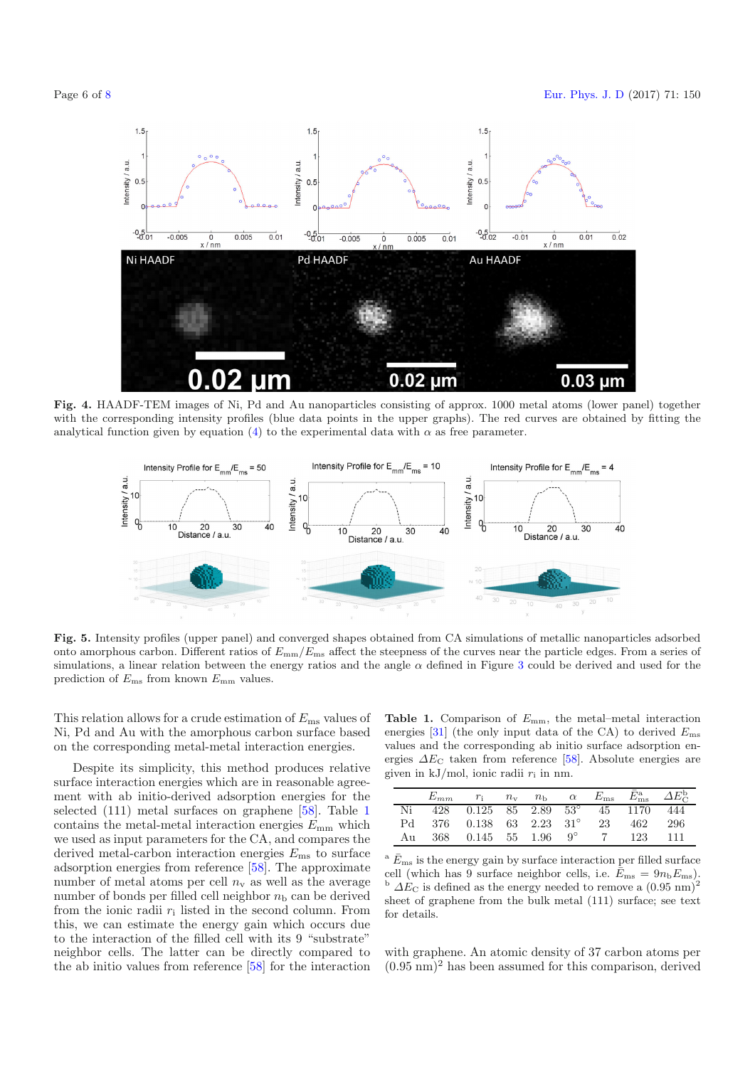<span id="page-5-1"></span>

<span id="page-5-2"></span>**Fig. 4.** HAADF-TEM images of Ni, Pd and Au nanoparticles consisting of approx. 1000 metal atoms (lower panel) together with the corresponding intensity profiles (blue data points in the upper graphs). The red curves are obtained by fitting the analytical function given by equation [\(4\)](#page-4-2) to the experimental data with  $\alpha$  as free parameter.



**Fig. 5.** Intensity profiles (upper panel) and converged shapes obtained from CA simulations of metallic nanoparticles adsorbed onto amorphous carbon. Different ratios of  $E_{mm}/E_{ms}$  affect the steepness of the curves near the particle edges. From a series of simulations, a linear relation between the energy ratios and the angle  $\alpha$  defined in Figure [3](#page-4-1) could be derived and used for the prediction of  $E_{\text{ms}}$  from known  $E_{\text{mm}}$  values.

This relation allows for a crude estimation of  $E_{\text{ms}}$  values of Ni, Pd and Au with the amorphous carbon surface based on the corresponding metal-metal interaction energies.

Despite its simplicity, this method produces relative surface interaction energies which are in reasonable agreement with ab initio-derived adsorption energies for the selected (111) metal surfaces on graphene [\[58](#page-7-32)]. Table [1](#page-5-0) contains the metal-metal interaction energies  $E_{\text{mm}}$  which we used as input parameters for the CA, and compares the derived metal-carbon interaction energies  $E_{\text{ms}}$  to surface adsorption energies from reference [\[58](#page-7-32)]. The approximate number of metal atoms per cell  $n_v$  as well as the average number of bonds per filled cell neighbor  $n<sub>b</sub>$  can be derived from the ionic radii  $r_i$  listed in the second column. From this, we can estimate the energy gain which occurs due to the interaction of the filled cell with its 9 "substrate" neighbor cells. The latter can be directly compared to the ab initio values from reference [\[58\]](#page-7-32) for the interaction

<span id="page-5-0"></span>**Table 1.** Comparison of  $E_{\text{mm}}$ , the metal–metal interaction energies [\[31](#page-7-13)] (the only input data of the CA) to derived  $E_{\text{ms}}$ values and the corresponding ab initio surface adsorption energies  $\Delta E_{\rm C}$  taken from reference [\[58](#page-7-32)]. Absolute energies are given in kJ/mol, ionic radii  $r_i$  in nm.

|      |                                   |  |  |           | $r_1$ $n_v$ $n_b$ $\alpha$ $E_{\text{ms}}$ $\bar{E}_{\text{ms}}^a$ $\Delta E_C^b$ |
|------|-----------------------------------|--|--|-----------|-----------------------------------------------------------------------------------|
| Ni   | 428 0.125 85 2.89 53° 45 1170 444 |  |  |           |                                                                                   |
|      | Pd 376 0.138 63 2.23 31° 23       |  |  | -462      | -- 296                                                                            |
| A 11 | 368 0.145 55 1.96 $9^{\circ}$     |  |  | 7 123 111 |                                                                                   |

 $^{\rm a}$   $\bar{E}_{\rm ms}$  is the energy gain by surface interaction per filled surface cell (which has 9 surface neighbor cells, i.e.  $\bar{E}_{\text{ms}} = 9n_b E_{\text{ms}}$ ).<br><sup>b</sup>  $\Delta E_C$  is defined as the energy needed to remove a  $(0.95 \text{ nm})^2$ sheet of graphene from the bulk metal (111) surface; see text for details.

with graphene. An atomic density of 37 carbon atoms per  $(0.95 \text{ nm})^2$  has been assumed for this comparison, derived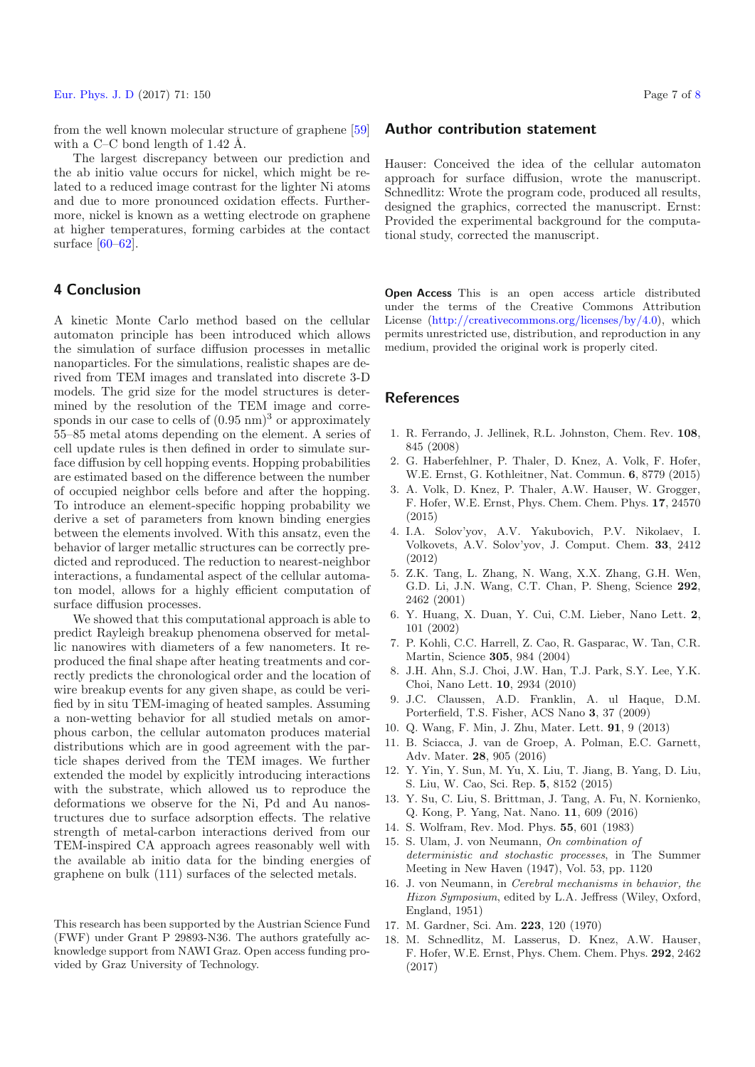from the well known molecular structure of graphene [\[59](#page-7-33)] with a C–C bond length of  $1.42 \text{ Å}.$ 

The largest discrepancy between our prediction and the ab initio value occurs for nickel, which might be related to a reduced image contrast for the lighter Ni atoms and due to more pronounced oxidation effects. Furthermore, nickel is known as a wetting electrode on graphene at higher temperatures, forming carbides at the contact surface  $[60-62]$  $[60-62]$ .

# **4 Conclusion**

A kinetic Monte Carlo method based on the cellular automaton principle has been introduced which allows the simulation of surface diffusion processes in metallic nanoparticles. For the simulations, realistic shapes are derived from TEM images and translated into discrete 3-D models. The grid size for the model structures is determined by the resolution of the TEM image and corresponds in our case to cells of  $(0.95 \text{ nm})^3$  or approximately 55–85 metal atoms depending on the element. A series of cell update rules is then defined in order to simulate surface diffusion by cell hopping events. Hopping probabilities are estimated based on the difference between the number of occupied neighbor cells before and after the hopping. To introduce an element-specific hopping probability we derive a set of parameters from known binding energies between the elements involved. With this ansatz, even the behavior of larger metallic structures can be correctly predicted and reproduced. The reduction to nearest-neighbor interactions, a fundamental aspect of the cellular automaton model, allows for a highly efficient computation of surface diffusion processes.

We showed that this computational approach is able to predict Rayleigh breakup phenomena observed for metallic nanowires with diameters of a few nanometers. It reproduced the final shape after heating treatments and correctly predicts the chronological order and the location of wire breakup events for any given shape, as could be verified by in situ TEM-imaging of heated samples. Assuming a non-wetting behavior for all studied metals on amorphous carbon, the cellular automaton produces material distributions which are in good agreement with the particle shapes derived from the TEM images. We further extended the model by explicitly introducing interactions with the substrate, which allowed us to reproduce the deformations we observe for the Ni, Pd and Au nanostructures due to surface adsorption effects. The relative strength of metal-carbon interactions derived from our TEM-inspired CA approach agrees reasonably well with the available ab initio data for the binding energies of graphene on bulk (111) surfaces of the selected metals.

### **Author contribution statement**

Hauser: Conceived the idea of the cellular automaton approach for surface diffusion, wrote the manuscript. Schnedlitz: Wrote the program code, produced all results, designed the graphics, corrected the manuscript. Ernst: Provided the experimental background for the computational study, corrected the manuscript.

**Open Access** This is an open access article distributed under the terms of the Creative Commons Attribution License [\(http://creativecommons.org/licenses/by/4.0\)](http://creativecommons.org/licenses/by/4.0), which permits unrestricted use, distribution, and reproduction in any medium, provided the original work is properly cited.

## **References**

- <span id="page-6-0"></span>1. R. Ferrando, J. Jellinek, R.L. Johnston, Chem. Rev. **108**, 845 (2008)
- <span id="page-6-1"></span>2. G. Haberfehlner, P. Thaler, D. Knez, A. Volk, F. Hofer, W.E. Ernst, G. Kothleitner, Nat. Commun. **6**, 8779 (2015)
- <span id="page-6-2"></span>3. A. Volk, D. Knez, P. Thaler, A.W. Hauser, W. Grogger, F. Hofer, W.E. Ernst, Phys. Chem. Chem. Phys. **17**, 24570 (2015)
- <span id="page-6-3"></span>4. I.A. Solov'yov, A.V. Yakubovich, P.V. Nikolaev, I. Volkovets, A.V. Solov'yov, J. Comput. Chem. **33**, 2412 (2012)
- <span id="page-6-4"></span>5. Z.K. Tang, L. Zhang, N. Wang, X.X. Zhang, G.H. Wen, G.D. Li, J.N. Wang, C.T. Chan, P. Sheng, Science **292**, 2462 (2001)
- <span id="page-6-5"></span>6. Y. Huang, X. Duan, Y. Cui, C.M. Lieber, Nano Lett. **2**, 101 (2002)
- <span id="page-6-6"></span>7. P. Kohli, C.C. Harrell, Z. Cao, R. Gasparac, W. Tan, C.R. Martin, Science **305**, 984 (2004)
- <span id="page-6-7"></span>8. J.H. Ahn, S.J. Choi, J.W. Han, T.J. Park, S.Y. Lee, Y.K. Choi, Nano Lett. **10**, 2934 (2010)
- 9. J.C. Claussen, A.D. Franklin, A. ul Haque, D.M. Porterfield, T.S. Fisher, ACS Nano **3**, 37 (2009)
- <span id="page-6-8"></span>10. Q. Wang, F. Min, J. Zhu, Mater. Lett. **91**, 9 (2013)
- <span id="page-6-9"></span>11. B. Sciacca, J. van de Groep, A. Polman, E.C. Garnett, Adv. Mater. **28**, 905 (2016)
- <span id="page-6-10"></span>12. Y. Yin, Y. Sun, M. Yu, X. Liu, T. Jiang, B. Yang, D. Liu, S. Liu, W. Cao, Sci. Rep. **5**, 8152 (2015)
- <span id="page-6-11"></span>13. Y. Su, C. Liu, S. Brittman, J. Tang, A. Fu, N. Kornienko, Q. Kong, P. Yang, Nat. Nano. **11**, 609 (2016)
- <span id="page-6-12"></span>14. S. Wolfram, Rev. Mod. Phys. **55**, 601 (1983)
- <span id="page-6-13"></span>15. S. Ulam, J. von Neumann, *On combination of deterministic and stochastic processes*, in The Summer Meeting in New Haven (1947), Vol. 53, pp. 1120
- <span id="page-6-14"></span>16. J. von Neumann, in *Cerebral mechanisms in behavior, the Hixon Symposium*, edited by L.A. Jeffress (Wiley, Oxford, England, 1951)
- <span id="page-6-15"></span>17. M. Gardner, Sci. Am. **223**, 120 (1970)
- <span id="page-6-16"></span>18. M. Schnedlitz, M. Lasserus, D. Knez, A.W. Hauser, F. Hofer, W.E. Ernst, Phys. Chem. Chem. Phys. **292**, 2462 (2017)

This research has been supported by the Austrian Science Fund (FWF) under Grant P 29893-N36. The authors gratefully acknowledge support from NAWI Graz. Open access funding provided by Graz University of Technology.